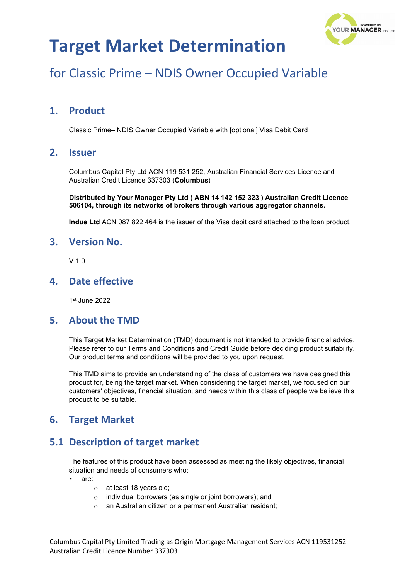

# for Classic Prime – NDIS Owner Occupied Variable

### **1. Product**

Classic Prime– NDIS Owner Occupied Variable with [optional] Visa Debit Card

### **2. Issuer**

Columbus Capital Pty Ltd ACN 119 531 252, Australian Financial Services Licence and Australian Credit Licence 337303 (**Columbus**)

**Distributed by Your Manager Pty Ltd ( ABN 14 142 152 323 ) Australian Credit Licence 506104, through its networks of brokers through various aggregator channels.**

**Indue Ltd** ACN 087 822 464 is the issuer of the Visa debit card attached to the loan product.

#### **3. Version No.**

V.1.0

### **4. Date effective**

1st June 2022

#### **5. About the TMD**

This Target Market Determination (TMD) document is not intended to provide financial advice. Please refer to our Terms and Conditions and Credit Guide before deciding product suitability. Our product terms and conditions will be provided to you upon request.

This TMD aims to provide an understanding of the class of customers we have designed this product for, being the target market. When considering the target market, we focused on our customers' objectives, financial situation, and needs within this class of people we believe this product to be suitable.

### **6. Target Market**

### **5.1 Description of target market**

The features of this product have been assessed as meeting the likely objectives, financial situation and needs of consumers who:

- are:
	- o at least 18 years old;
	- o individual borrowers (as single or joint borrowers); and
	- o an Australian citizen or a permanent Australian resident;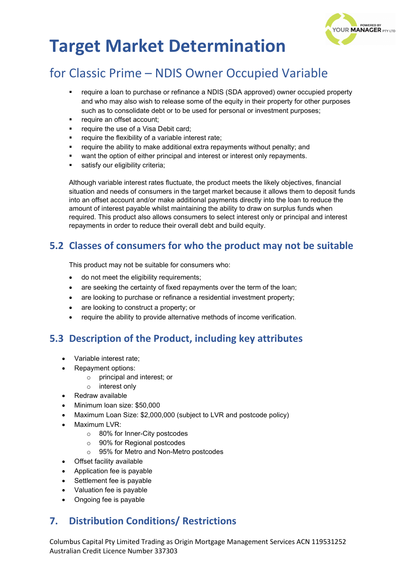

# for Classic Prime – NDIS Owner Occupied Variable

- require a loan to purchase or refinance a NDIS (SDA approved) owner occupied property and who may also wish to release some of the equity in their property for other purposes such as to consolidate debt or to be used for personal or investment purposes;
- require an offset account;
- require the use of a Visa Debit card;
- require the flexibility of a variable interest rate;
- require the ability to make additional extra repayments without penalty; and
- want the option of either principal and interest or interest only repayments.
- satisfy our eligibility criteria:

Although variable interest rates fluctuate, the product meets the likely objectives, financial situation and needs of consumers in the target market because it allows them to deposit funds into an offset account and/or make additional payments directly into the loan to reduce the amount of interest payable whilst maintaining the ability to draw on surplus funds when required. This product also allows consumers to select interest only or principal and interest repayments in order to reduce their overall debt and build equity.

### **5.2 Classes of consumers for who the product may not be suitable**

This product may not be suitable for consumers who:

- do not meet the eligibility requirements;
- are seeking the certainty of fixed repayments over the term of the loan;
- are looking to purchase or refinance a residential investment property;
- are looking to construct a property; or
- require the ability to provide alternative methods of income verification.

### **5.3 Description of the Product, including key attributes**

- Variable interest rate;
- Repayment options:
	- o principal and interest; or
	- o interest only
- Redraw available
- Minimum loan size: \$50,000
- Maximum Loan Size: \$2,000,000 (subject to LVR and postcode policy)
- Maximum LVR:
	- o 80% for Inner-City postcodes
	- o 90% for Regional postcodes
	- o 95% for Metro and Non-Metro postcodes
- Offset facility available
- Application fee is payable
- Settlement fee is payable
- Valuation fee is payable
- Ongoing fee is payable

### **7. Distribution Conditions/ Restrictions**

Columbus Capital Pty Limited Trading as Origin Mortgage Management Services ACN 119531252 Australian Credit Licence Number 337303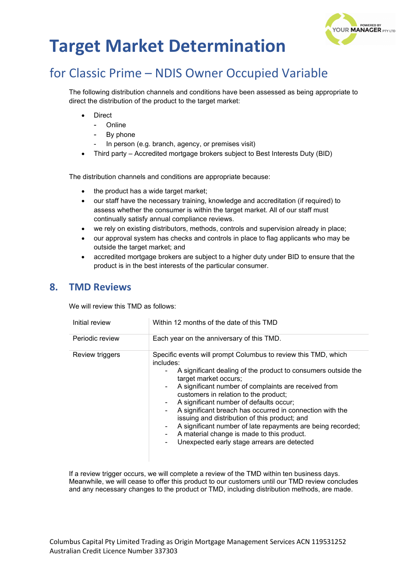

# for Classic Prime – NDIS Owner Occupied Variable

The following distribution channels and conditions have been assessed as being appropriate to direct the distribution of the product to the target market:

- **Direct** 
	- Online
	- By phone
	- In person (e.g. branch, agency, or premises visit)
- Third party Accredited mortgage brokers subject to Best Interests Duty (BID)

The distribution channels and conditions are appropriate because:

- the product has a wide target market;
- our staff have the necessary training, knowledge and accreditation (if required) to assess whether the consumer is within the target market. All of our staff must continually satisfy annual compliance reviews.
- we rely on existing distributors, methods, controls and supervision already in place;
- our approval system has checks and controls in place to flag applicants who may be outside the target market; and
- accredited mortgage brokers are subject to a higher duty under BID to ensure that the product is in the best interests of the particular consumer.

#### **8. TMD Reviews**

We will review this TMD as follows:

| Initial review  | Within 12 months of the date of this TMD                                                                                                                                                                                                                                                                                                                                                                                                                                                                                                                                                                    |  |
|-----------------|-------------------------------------------------------------------------------------------------------------------------------------------------------------------------------------------------------------------------------------------------------------------------------------------------------------------------------------------------------------------------------------------------------------------------------------------------------------------------------------------------------------------------------------------------------------------------------------------------------------|--|
| Periodic review | Each year on the anniversary of this TMD.                                                                                                                                                                                                                                                                                                                                                                                                                                                                                                                                                                   |  |
| Review triggers | Specific events will prompt Columbus to review this TMD, which<br>includes:<br>A significant dealing of the product to consumers outside the<br>target market occurs;<br>A significant number of complaints are received from<br>customers in relation to the product;<br>A significant number of defaults occur;<br>۰.<br>A significant breach has occurred in connection with the<br>۰<br>issuing and distribution of this product; and<br>A significant number of late repayments are being recorded;<br>۰.<br>A material change is made to this product.<br>Unexpected early stage arrears are detected |  |

If a review trigger occurs, we will complete a review of the TMD within ten business days. Meanwhile, we will cease to offer this product to our customers until our TMD review concludes and any necessary changes to the product or TMD, including distribution methods, are made.